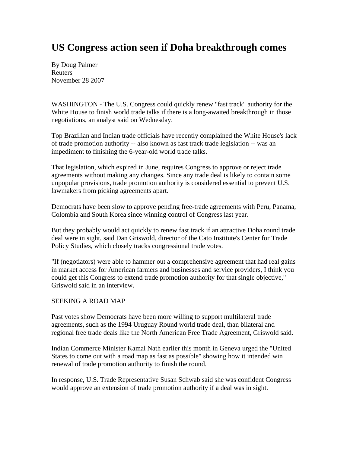## **US Congress action seen if Doha breakthrough comes**

By Doug Palmer Reuters November 28 2007

WASHINGTON - The U.S. Congress could quickly renew "fast track" authority for the White House to finish world trade talks if there is a long-awaited breakthrough in those negotiations, an analyst said on Wednesday.

Top Brazilian and Indian trade officials have recently complained the White House's lack of trade promotion authority -- also known as fast track trade legislation -- was an impediment to finishing the 6-year-old world trade talks.

That legislation, which expired in June, requires Congress to approve or reject trade agreements without making any changes. Since any trade deal is likely to contain some unpopular provisions, trade promotion authority is considered essential to prevent U.S. lawmakers from picking agreements apart.

Democrats have been slow to approve pending free-trade agreements with Peru, Panama, Colombia and South Korea since winning control of Congress last year.

But they probably would act quickly to renew fast track if an attractive Doha round trade deal were in sight, said Dan Griswold, director of the Cato Institute's Center for Trade Policy Studies, which closely tracks congressional trade votes.

"If (negotiators) were able to hammer out a comprehensive agreement that had real gains in market access for American farmers and businesses and service providers, I think you could get this Congress to extend trade promotion authority for that single objective," Griswold said in an interview.

## SEEKING A ROAD MAP

Past votes show Democrats have been more willing to support multilateral trade agreements, such as the 1994 Uruguay Round world trade deal, than bilateral and regional free trade deals like the North American Free Trade Agreement, Griswold said.

Indian Commerce Minister Kamal Nath earlier this month in Geneva urged the "United States to come out with a road map as fast as possible" showing how it intended win renewal of trade promotion authority to finish the round.

In response, U.S. Trade Representative Susan Schwab said she was confident Congress would approve an extension of trade promotion authority if a deal was in sight.